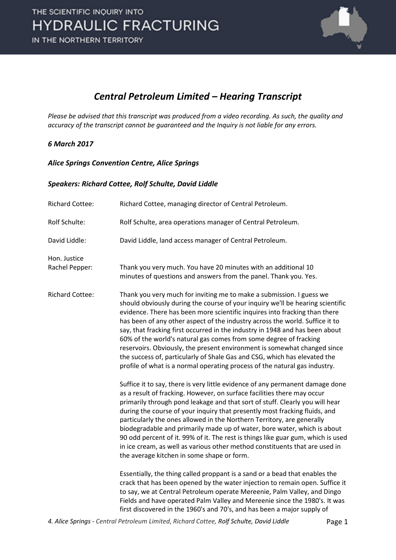

### *Central Petroleum Limited – Hearing Transcript*

*Please be advised that this transcript was produced from a video recording. As such, the quality and accuracy of the transcript cannot be guaranteed and the Inquiry is not liable for any errors.*

### *6 March 2017*

### *Alice Springs Convention Centre, Alice Springs*

### *Speakers: Richard Cottee, Rolf Schulte, David Liddle*

| <b>Richard Cottee:</b>         | Richard Cottee, managing director of Central Petroleum.                                                                                                                                                                                                                                                                                                                                                                                                                                                                                                                                                                                                                                                          |
|--------------------------------|------------------------------------------------------------------------------------------------------------------------------------------------------------------------------------------------------------------------------------------------------------------------------------------------------------------------------------------------------------------------------------------------------------------------------------------------------------------------------------------------------------------------------------------------------------------------------------------------------------------------------------------------------------------------------------------------------------------|
| Rolf Schulte:                  | Rolf Schulte, area operations manager of Central Petroleum.                                                                                                                                                                                                                                                                                                                                                                                                                                                                                                                                                                                                                                                      |
| David Liddle:                  | David Liddle, land access manager of Central Petroleum.                                                                                                                                                                                                                                                                                                                                                                                                                                                                                                                                                                                                                                                          |
| Hon. Justice<br>Rachel Pepper: | Thank you very much. You have 20 minutes with an additional 10<br>minutes of questions and answers from the panel. Thank you. Yes.                                                                                                                                                                                                                                                                                                                                                                                                                                                                                                                                                                               |
| <b>Richard Cottee:</b>         | Thank you very much for inviting me to make a submission. I guess we<br>should obviously during the course of your inquiry we'll be hearing scientific<br>evidence. There has been more scientific inquires into fracking than there<br>has been of any other aspect of the industry across the world. Suffice it to<br>say, that fracking first occurred in the industry in 1948 and has been about<br>60% of the world's natural gas comes from some degree of fracking<br>reservoirs. Obviously, the present environment is somewhat changed since<br>the success of, particularly of Shale Gas and CSG, which has elevated the<br>profile of what is a normal operating process of the natural gas industry. |
|                                | Suffice it to say, there is very little evidence of any permanent damage done<br>as a result of fracking. However, on surface facilities there may occur<br>primarily through pond leakage and that sort of stuff. Clearly you will hear<br>during the course of your inquiry that presently most fracking fluids, and<br>particularly the ones allowed in the Northern Territory, are generally<br>biodegradable and primarily made up of water, bore water, which is about<br>90 odd percent of it. 99% of it. The rest is things like guar gum, which is used<br>in ice cream, as well as various other method constituents that are used in<br>the average kitchen in some shape or form.                    |
|                                | Essentially, the thing called proppant is a sand or a bead that enables the<br>crack that has been opened by the water injection to remain open. Suffice it<br>to say, we at Central Petroleum operate Mereenie, Palm Valley, and Dingo<br>Fields and have operated Palm Valley and Mereenie since the 1980's. It was<br>first discovered in the 1960's and 70's, and has been a major supply of                                                                                                                                                                                                                                                                                                                 |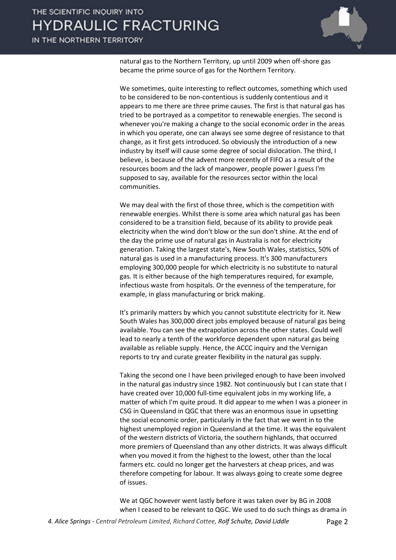IN THE NORTHERN TERRITORY



natural gas to the Northern Territory, up until 2009 when off-shore gas became the prime source of gas for the Northern Territory.

We sometimes, quite interesting to reflect outcomes, something which used to be considered to be non-contentious is suddenly contentious and it appears to me there are three prime causes. The first is that natural gas has tried to be portrayed as a competitor to renewable energies. The second is whenever you're making a change to the social economic order in the areas in which you operate, one can always see some degree of resistance to that change, as it first gets introduced. So obviously the introduction of a new industry by itself will cause some degree of social dislocation. The third, I believe, is because of the advent more recently of FIFO as a result of the resources boom and the lack of manpower, people power I guess I'm supposed to say, available for the resources sector within the local communities.

We may deal with the first of those three, which is the competition with renewable energies. Whilst there is some area which natural gas has been considered to be a transition field, because of its ability to provide peak electricity when the wind don't blow or the sun don't shine. At the end of the day the prime use of natural gas in Australia is not for electricity generation. Taking the largest state's, New South Wales, statistics, 50% of natural gas is used in a manufacturing process. It's 300 manufacturers employing 300,000 people for which electricity is no substitute to natural gas. It is either because of the high temperatures required, for example, infectious waste from hospitals. Or the evenness of the temperature, for example, in glass manufacturing or brick making.

It's primarily matters by which you cannot substitute electricity for it. New South Wales has 300,000 direct jobs employed because of natural gas being available. You can see the extrapolation across the other states. Could well lead to nearly a tenth of the workforce dependent upon natural gas being available as reliable supply. Hence, the ACCC inquiry and the Vernigan reports to try and curate greater flexibility in the natural gas supply.

Taking the second one I have been privileged enough to have been involved in the natural gas industry since 1982. Not continuously but I can state that I have created over 10,000 full-time equivalent jobs in my working life, a matter of which I'm quite proud. It did appear to me when I was a pioneer in CSG in Queensland in QGC that there was an enormous issue in upsetting the social economic order, particularly in the fact that we went in to the highest unemployed region in Queensland at the time. It was the equivalent of the western districts of Victoria, the southern highlands, that occurred more premiers of Queensland than any other districts. It was always difficult when you moved it from the highest to the lowest, other than the local farmers etc. could no longer get the harvesters at cheap prices, and was therefore competing for labour. It was always going to create some degree of issues.

We at QGC however went lastly before it was taken over by BG in 2008 when I ceased to be relevant to QGC. We used to do such things as drama in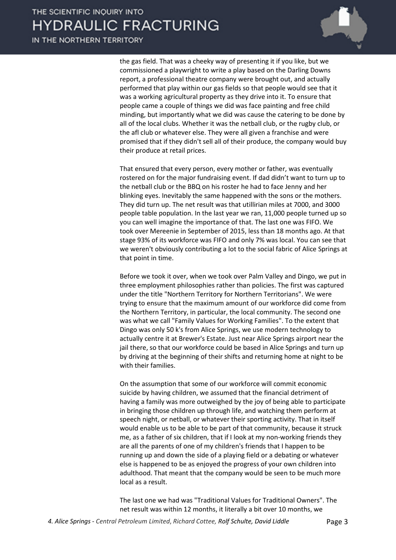IN THE NORTHERN TERRITORY



the gas field. That was a cheeky way of presenting it if you like, but we commissioned a playwright to write a play based on the Darling Downs report, a professional theatre company were brought out, and actually performed that play within our gas fields so that people would see that it was a working agricultural property as they drive into it. To ensure that people came a couple of things we did was face painting and free child minding, but importantly what we did was cause the catering to be done by all of the local clubs. Whether it was the netball club, or the rugby club, or the afl club or whatever else. They were all given a franchise and were promised that if they didn't sell all of their produce, the company would buy their produce at retail prices.

That ensured that every person, every mother or father, was eventually rostered on for the major fundraising event. If dad didn't want to turn up to the netball club or the BBQ on his roster he had to face Jenny and her blinking eyes. Inevitably the same happened with the sons or the mothers. They did turn up. The net result was that utillirian miles at 7000, and 3000 people table population. In the last year we ran, 11,000 people turned up so you can well imagine the importance of that. The last one was FIFO. We took over Mereenie in September of 2015, less than 18 months ago. At that stage 93% of its workforce was FIFO and only 7% was local. You can see that we weren't obviously contributing a lot to the social fabric of Alice Springs at that point in time.

Before we took it over, when we took over Palm Valley and Dingo, we put in three employment philosophies rather than policies. The first was captured under the title "Northern Territory for Northern Territorians". We were trying to ensure that the maximum amount of our workforce did come from the Northern Territory, in particular, the local community. The second one was what we call "Family Values for Working Families". To the extent that Dingo was only 50 k's from Alice Springs, we use modern technology to actually centre it at Brewer's Estate. Just near Alice Springs airport near the jail there, so that our workforce could be based in Alice Springs and turn up by driving at the beginning of their shifts and returning home at night to be with their families.

On the assumption that some of our workforce will commit economic suicide by having children, we assumed that the financial detriment of having a family was more outweighed by the joy of being able to participate in bringing those children up through life, and watching them perform at speech night, or netball, or whatever their sporting activity. That in itself would enable us to be able to be part of that community, because it struck me, as a father of six children, that if I look at my non-working friends they are all the parents of one of my children's friends that I happen to be running up and down the side of a playing field or a debating or whatever else is happened to be as enjoyed the progress of your own children into adulthood. That meant that the company would be seen to be much more local as a result.

The last one we had was "Traditional Values for Traditional Owners". The net result was within 12 months, it literally a bit over 10 months, we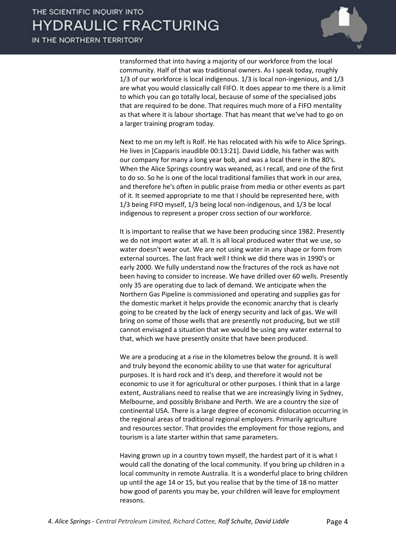transformed that into having a majority of our workforce from the local community. Half of that was traditional owners. As I speak today, roughly 1/3 of our workforce is local indigenous. 1/3 is local non-ingenious, and 1/3 are what you would classically call FIFO. It does appear to me there is a limit to which you can go totally local, because of some of the specialised jobs that are required to be done. That requires much more of a FIFO mentality as that where it is labour shortage. That has meant that we've had to go on a larger training program today.

Next to me on my left is Rolf. He has relocated with his wife to Alice Springs. He lives in [Capparis inaudible 00:13:21]. David Liddle, his father was with our company for many a long year bob, and was a local there in the 80's. When the Alice Springs country was weaned, as I recall, and one of the first to do so. So he is one of the local traditional families that work in our area, and therefore he's often in public praise from media or other events as part of it. It seemed appropriate to me that I should be represented here, with 1/3 being FIFO myself, 1/3 being local non-indigenous, and 1/3 be local indigenous to represent a proper cross section of our workforce.

It is important to realise that we have been producing since 1982. Presently we do not import water at all. It is all local produced water that we use, so water doesn't wear out. We are not using water in any shape or form from external sources. The last frack well I think we did there was in 1990's or early 2000. We fully understand now the fractures of the rock as have not been having to consider to increase. We have drilled over 60 wells. Presently only 35 are operating due to lack of demand. We anticipate when the Northern Gas Pipeline is commissioned and operating and supplies gas for the domestic market it helps provide the economic anarchy that is clearly going to be created by the lack of energy security and lack of gas. We will bring on some of those wells that are presently not producing, but we still cannot envisaged a situation that we would be using any water external to that, which we have presently onsite that have been produced.

We are a producing at a rise in the kilometres below the ground. It is well and truly beyond the economic ability to use that water for agricultural purposes. It is hard rock and it's deep, and therefore it would not be economic to use it for agricultural or other purposes. I think that in a large extent, Australians need to realise that we are increasingly living in Sydney, Melbourne, and possibly Brisbane and Perth. We are a country the size of continental USA. There is a large degree of economic dislocation occurring in the regional areas of traditional regional employers. Primarily agriculture and resources sector. That provides the employment for those regions, and tourism is a late starter within that same parameters.

Having grown up in a country town myself, the hardest part of it is what I would call the donating of the local community. If you bring up children in a local community in remote Australia. It is a wonderful place to bring children up until the age 14 or 15, but you realise that by the time of 18 no matter how good of parents you may be, your children will leave for employment reasons.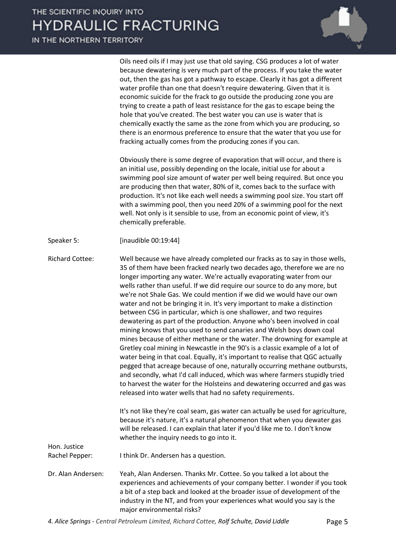IN THE NORTHERN TERRITORY



Oils need oils if I may just use that old saying. CSG produces a lot of water because dewatering is very much part of the process. If you take the water out, then the gas has got a pathway to escape. Clearly it has got a different water profile than one that doesn't require dewatering. Given that it is economic suicide for the frack to go outside the producing zone you are trying to create a path of least resistance for the gas to escape being the hole that you've created. The best water you can use is water that is chemically exactly the same as the zone from which you are producing, so there is an enormous preference to ensure that the water that you use for fracking actually comes from the producing zones if you can.

Obviously there is some degree of evaporation that will occur, and there is an initial use, possibly depending on the locale, initial use for about a swimming pool size amount of water per well being required. But once you are producing then that water, 80% of it, comes back to the surface with production. It's not like each well needs a swimming pool size. You start off with a swimming pool, then you need 20% of a swimming pool for the next well. Not only is it sensible to use, from an economic point of view, it's chemically preferable.

Speaker 5: [inaudible 00:19:44]

Richard Cottee: Well because we have already completed our fracks as to say in those wells, 35 of them have been fracked nearly two decades ago, therefore we are no longer importing any water. We're actually evaporating water from our wells rather than useful. If we did require our source to do any more, but we're not Shale Gas. We could mention if we did we would have our own water and not be bringing it in. It's very important to make a distinction between CSG in particular, which is one shallower, and two requires dewatering as part of the production. Anyone who's been involved in coal mining knows that you used to send canaries and Welsh boys down coal mines because of either methane or the water. The drowning for example at Gretley coal mining in Newcastle in the 90's is a classic example of a lot of water being in that coal. Equally, it's important to realise that QGC actually pegged that acreage because of one, naturally occurring methane outbursts, and secondly, what I'd call induced, which was where farmers stupidly tried to harvest the water for the Holsteins and dewatering occurred and gas was released into water wells that had no safety requirements.

> It's not like they're coal seam, gas water can actually be used for agriculture, because it's nature, it's a natural phenomenon that when you dewater gas will be released. I can explain that later if you'd like me to. I don't know whether the inquiry needs to go into it.

Rachel Pepper: I think Dr. Andersen has a question.

Hon. Justice

Dr. Alan Andersen: Yeah, Alan Andersen. Thanks Mr. Cottee. So you talked a lot about the experiences and achievements of your company better. I wonder if you took a bit of a step back and looked at the broader issue of development of the industry in the NT, and from your experiences what would you say is the major environmental risks?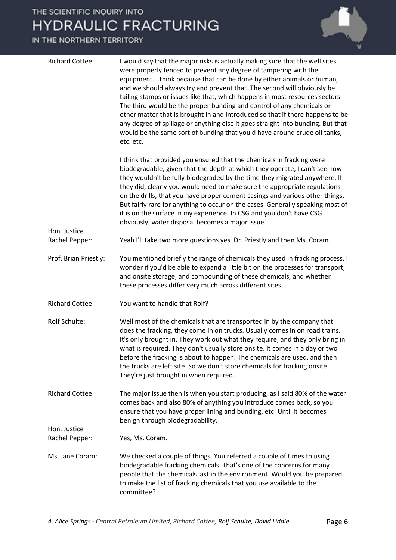IN THE NORTHERN TERRITORY

| <b>Richard Cottee:</b>         | I would say that the major risks is actually making sure that the well sites<br>were properly fenced to prevent any degree of tampering with the<br>equipment. I think because that can be done by either animals or human,<br>and we should always try and prevent that. The second will obviously be<br>tailing stamps or issues like that, which happens in most resources sectors.<br>The third would be the proper bunding and control of any chemicals or<br>other matter that is brought in and introduced so that if there happens to be<br>any degree of spillage or anything else it goes straight into bunding. But that<br>would be the same sort of bunding that you'd have around crude oil tanks,<br>etc. etc. |
|--------------------------------|-------------------------------------------------------------------------------------------------------------------------------------------------------------------------------------------------------------------------------------------------------------------------------------------------------------------------------------------------------------------------------------------------------------------------------------------------------------------------------------------------------------------------------------------------------------------------------------------------------------------------------------------------------------------------------------------------------------------------------|
|                                | I think that provided you ensured that the chemicals in fracking were<br>biodegradable, given that the depth at which they operate, I can't see how<br>they wouldn't be fully biodegraded by the time they migrated anywhere. If<br>they did, clearly you would need to make sure the appropriate regulations<br>on the drills, that you have proper cement casings and various other things.<br>But fairly rare for anything to occur on the cases. Generally speaking most of<br>it is on the surface in my experience. In CSG and you don't have CSG<br>obviously, water disposal becomes a major issue.                                                                                                                   |
| Hon. Justice<br>Rachel Pepper: | Yeah I'll take two more questions yes. Dr. Priestly and then Ms. Coram.                                                                                                                                                                                                                                                                                                                                                                                                                                                                                                                                                                                                                                                       |
| Prof. Brian Priestly:          | You mentioned briefly the range of chemicals they used in fracking process. I<br>wonder if you'd be able to expand a little bit on the processes for transport,<br>and onsite storage, and compounding of these chemicals, and whether<br>these processes differ very much across different sites.                                                                                                                                                                                                                                                                                                                                                                                                                            |
| <b>Richard Cottee:</b>         | You want to handle that Rolf?                                                                                                                                                                                                                                                                                                                                                                                                                                                                                                                                                                                                                                                                                                 |
| Rolf Schulte:                  | Well most of the chemicals that are transported in by the company that<br>does the fracking, they come in on trucks. Usually comes in on road trains.<br>It's only brought in. They work out what they require, and they only bring in<br>what is required. They don't usually store onsite. It comes in a day or two<br>before the fracking is about to happen. The chemicals are used, and then<br>the trucks are left site. So we don't store chemicals for fracking onsite.<br>They're just brought in when required.                                                                                                                                                                                                     |
| <b>Richard Cottee:</b>         | The major issue then is when you start producing, as I said 80% of the water<br>comes back and also 80% of anything you introduce comes back, so you<br>ensure that you have proper lining and bunding, etc. Until it becomes<br>benign through biodegradability.                                                                                                                                                                                                                                                                                                                                                                                                                                                             |
| Hon. Justice<br>Rachel Pepper: | Yes, Ms. Coram.                                                                                                                                                                                                                                                                                                                                                                                                                                                                                                                                                                                                                                                                                                               |
| Ms. Jane Coram:                | We checked a couple of things. You referred a couple of times to using<br>biodegradable fracking chemicals. That's one of the concerns for many<br>people that the chemicals last in the environment. Would you be prepared<br>to make the list of fracking chemicals that you use available to the<br>committee?                                                                                                                                                                                                                                                                                                                                                                                                             |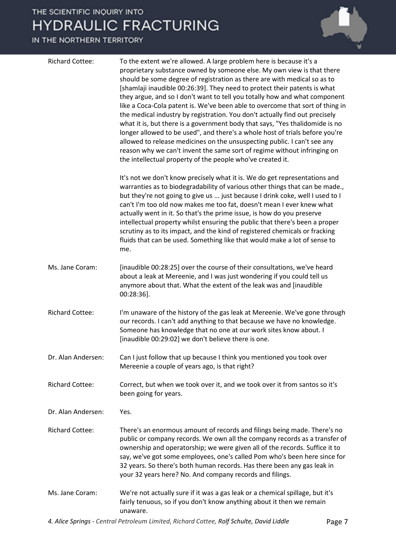IN THE NORTHERN TERRITORY

|                        | should be some degree of registration as there are with medical so as to<br>[shamlaji inaudible 00:26:39]. They need to protect their patents is what<br>they argue, and so I don't want to tell you totally how and what component<br>like a Coca-Cola patent is. We've been able to overcome that sort of thing in<br>the medical industry by registration. You don't actually find out precisely<br>what it is, but there is a government body that says, "Yes thalidomide is no<br>longer allowed to be used", and there's a whole host of trials before you're<br>allowed to release medicines on the unsuspecting public. I can't see any<br>reason why we can't invent the same sort of regime without infringing on<br>the intellectual property of the people who've created it. |
|------------------------|-------------------------------------------------------------------------------------------------------------------------------------------------------------------------------------------------------------------------------------------------------------------------------------------------------------------------------------------------------------------------------------------------------------------------------------------------------------------------------------------------------------------------------------------------------------------------------------------------------------------------------------------------------------------------------------------------------------------------------------------------------------------------------------------|
|                        | It's not we don't know precisely what it is. We do get representations and<br>warranties as to biodegradability of various other things that can be made.,<br>but they're not going to give us  just because I drink coke, well I used to I<br>can't I'm too old now makes me too fat, doesn't mean I ever knew what<br>actually went in it. So that's the prime issue, is how do you preserve<br>intellectual property whilst ensuring the public that there's been a proper<br>scrutiny as to its impact, and the kind of registered chemicals or fracking<br>fluids that can be used. Something like that would make a lot of sense to<br>me.                                                                                                                                          |
| Ms. Jane Coram:        | [inaudible 00:28:25] over the course of their consultations, we've heard<br>about a leak at Mereenie, and I was just wondering if you could tell us<br>anymore about that. What the extent of the leak was and [inaudible<br>$00:28:36$ ].                                                                                                                                                                                                                                                                                                                                                                                                                                                                                                                                                |
| <b>Richard Cottee:</b> | I'm unaware of the history of the gas leak at Mereenie. We've gone through<br>our records. I can't add anything to that because we have no knowledge.<br>Someone has knowledge that no one at our work sites know about. I<br>[inaudible 00:29:02] we don't believe there is one.                                                                                                                                                                                                                                                                                                                                                                                                                                                                                                         |
| Dr. Alan Andersen:     | Can I just follow that up because I think you mentioned you took over<br>Mereenie a couple of years ago, is that right?                                                                                                                                                                                                                                                                                                                                                                                                                                                                                                                                                                                                                                                                   |
| <b>Richard Cottee:</b> | Correct, but when we took over it, and we took over it from santos so it's<br>been going for years.                                                                                                                                                                                                                                                                                                                                                                                                                                                                                                                                                                                                                                                                                       |
| Dr. Alan Andersen:     | Yes.                                                                                                                                                                                                                                                                                                                                                                                                                                                                                                                                                                                                                                                                                                                                                                                      |
| <b>Richard Cottee:</b> | There's an enormous amount of records and filings being made. There's no<br>public or company records. We own all the company records as a transfer of<br>ownership and operatorship; we were given all of the records. Suffice it to<br>say, we've got some employees, one's called Pom who's been here since for<br>32 years. So there's both human records. Has there been any gas leak in<br>your 32 years here? No. And company records and filings.                                                                                                                                                                                                                                                                                                                                 |
| Ms. Jane Coram:        | We're not actually sure if it was a gas leak or a chemical spillage, but it's<br>fairly tenuous, so if you don't know anything about it then we remain<br>unaware.                                                                                                                                                                                                                                                                                                                                                                                                                                                                                                                                                                                                                        |